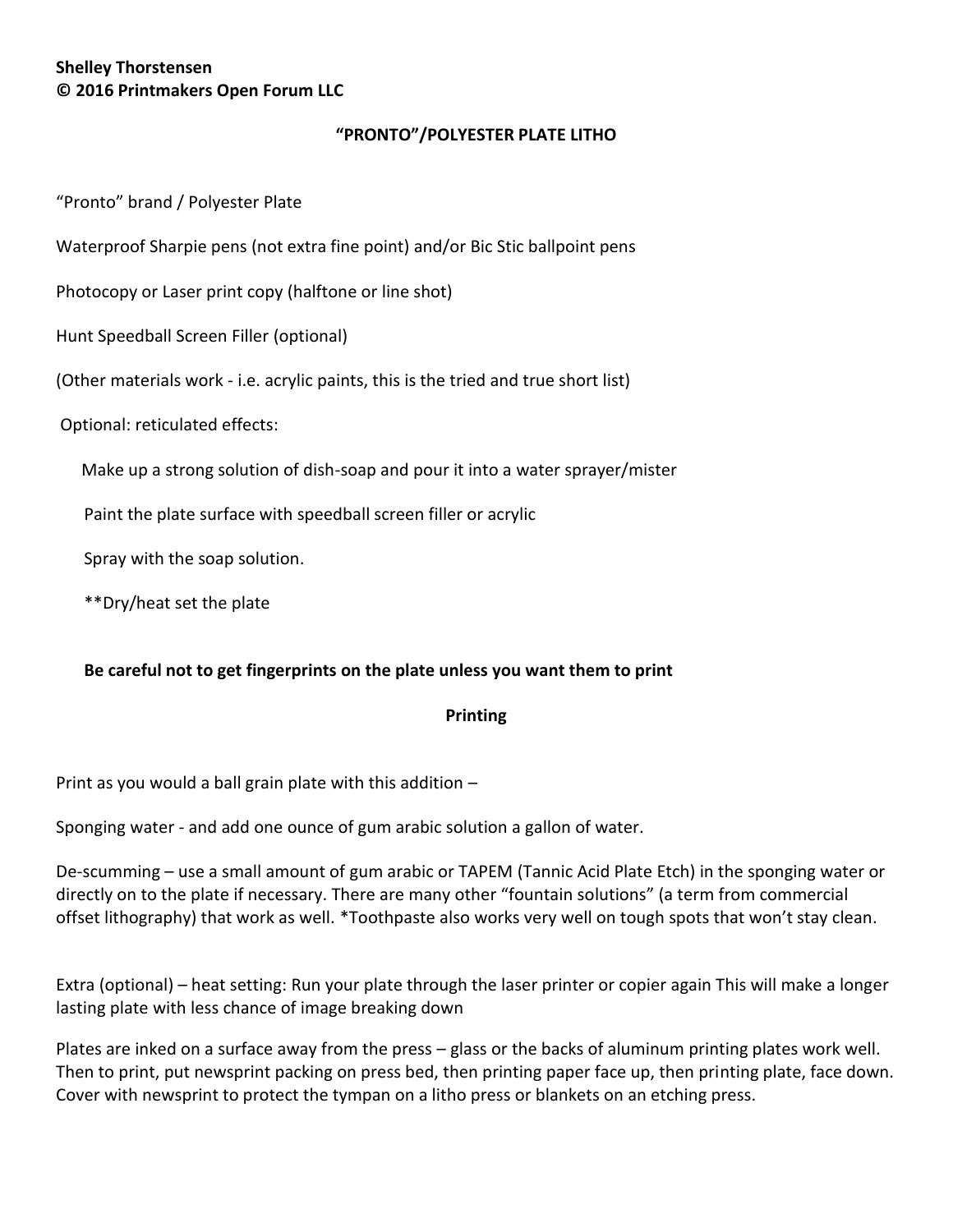# **Shelley Thorstensen © 2016 Printmakers Open Forum LLC**

# **"PRONTO"/POLYESTER PLATE LITHO**

"Pronto" brand / Polyester Plate

Waterproof Sharpie pens (not extra fine point) and/or Bic Stic ballpoint pens

Photocopy or Laser print copy (halftone or line shot)

Hunt Speedball Screen Filler (optional)

(Other materials work - i.e. acrylic paints, this is the tried and true short list)

Optional: reticulated effects:

Make up a strong solution of dish-soap and pour it into a water sprayer/mister

Paint the plate surface with speedball screen filler or acrylic

Spray with the soap solution.

\*\*Dry/heat set the plate

#### **Be careful not to get fingerprints on the plate unless you want them to print**

#### **Printing**

Print as you would a ball grain plate with this addition –

Sponging water - and add one ounce of gum arabic solution a gallon of water.

De-scumming – use a small amount of gum arabic or TAPEM (Tannic Acid Plate Etch) in the sponging water or directly on to the plate if necessary. There are many other "fountain solutions" (a term from commercial offset lithography) that work as well. \*Toothpaste also works very well on tough spots that won't stay clean.

Extra (optional) – heat setting: Run your plate through the laser printer or copier again This will make a longer lasting plate with less chance of image breaking down

Plates are inked on a surface away from the press – glass or the backs of aluminum printing plates work well. Then to print, put newsprint packing on press bed, then printing paper face up, then printing plate, face down. Cover with newsprint to protect the tympan on a litho press or blankets on an etching press.